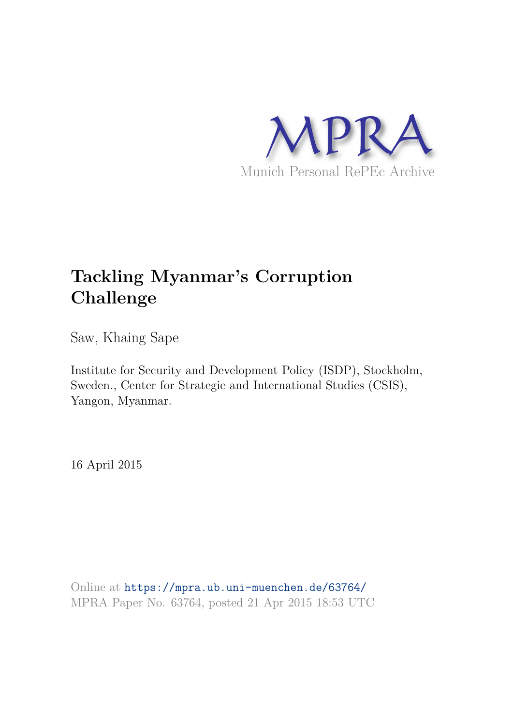

### **Tackling Myanmar's Corruption Challenge**

Saw, Khaing Sape

Institute for Security and Development Policy (ISDP), Stockholm, Sweden., Center for Strategic and International Studies (CSIS), Yangon, Myanmar.

16 April 2015

Online at https://mpra.ub.uni-muenchen.de/63764/ MPRA Paper No. 63764, posted 21 Apr 2015 18:53 UTC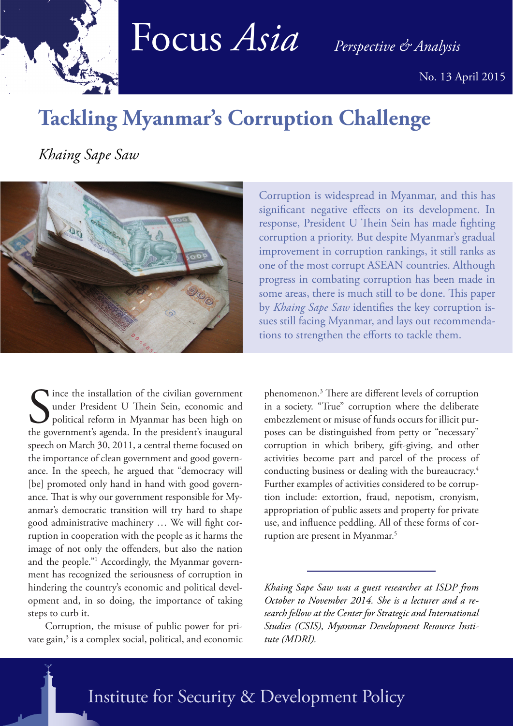

# Focus *Asia Perspective & Analysis*

No. 13 April 2015

## **Tackling Myanmar's Corruption Challenge**

*Khaing Sape Saw*



Since the installation of the civilian government<br>
under President U Thein Sein, economic and<br>
political reform in Myanmar has been high on<br>
the government's agenda. In the president's inaugural ince the installation of the civilian government under President U Thein Sein, economic and political reform in Myanmar has been high on speech on March 30, 2011, a central theme focused on the importance of clean government and good governance. In the speech, he argued that "democracy will [be] promoted only hand in hand with good governance. That is why our government responsible for Myanmar's democratic transition will try hard to shape good administrative machinery … We will fight corruption in cooperation with the people as it harms the image of not only the offenders, but also the nation and the people."<sup>1</sup> Accordingly, the Myanmar government has recognized the seriousness of corruption in hindering the country's economic and political development and, in so doing, the importance of taking steps to curb it.

 Corruption, the misuse of public power for private gain,<sup>3</sup> is a complex social, political, and economic

Corruption is widespread in Myanmar, and this has significant negative effects on its development. In response, President U Thein Sein has made fighting corruption a priority. But despite Myanmar's gradual improvement in corruption rankings, it still ranks as one of the most corrupt ASEAN countries. Although progress in combating corruption has been made in some areas, there is much still to be done. This paper by *Khaing Sape Saw* identifies the key corruption issues still facing Myanmar, and lays out recommendations to strengthen the efforts to tackle them.

phenomenon.<sup>3</sup> There are different levels of corruption in a society. "True" corruption where the deliberate embezzlement or misuse of funds occurs for illicit purposes can be distinguished from petty or "necessary" corruption in which bribery, gift-giving, and other activities become part and parcel of the process of conducting business or dealing with the bureaucracy.<sup>4</sup> Further examples of activities considered to be corruption include: extortion, fraud, nepotism, cronyism, appropriation of public assets and property for private use, and influence peddling. All of these forms of corruption are present in Myanmar.<sup>5</sup>

*Khaing Sape Saw was a guest researcher at ISDP from October to November 2014. She is a lecturer and a research fellow at the Center for Strategic and International Studies (CSIS), Myanmar Development Resource Institute (MDRI).*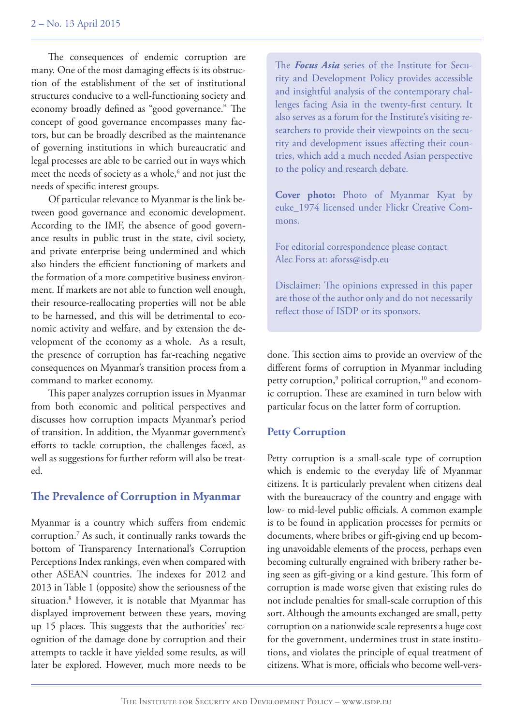The consequences of endemic corruption are many. One of the most damaging effects is its obstruction of the establishment of the set of institutional structures conducive to a well-functioning society and economy broadly defined as "good governance." The concept of good governance encompasses many factors, but can be broadly described as the maintenance of governing institutions in which bureaucratic and legal processes are able to be carried out in ways which meet the needs of society as a whole,<sup>6</sup> and not just the needs of specific interest groups.

 Of particular relevance to Myanmar is the link between good governance and economic development. According to the IMF, the absence of good governance results in public trust in the state, civil society, and private enterprise being undermined and which also hinders the efficient functioning of markets and the formation of a more competitive business environment. If markets are not able to function well enough, their resource-reallocating properties will not be able to be harnessed, and this will be detrimental to economic activity and welfare, and by extension the development of the economy as a whole. As a result, the presence of corruption has far-reaching negative consequences on Myanmar's transition process from a command to market economy.

 This paper analyzes corruption issues in Myanmar from both economic and political perspectives and discusses how corruption impacts Myanmar's period of transition. In addition, the Myanmar government's efforts to tackle corruption, the challenges faced, as well as suggestions for further reform will also be treated.

#### **The Prevalence of Corruption in Myanmar**

Myanmar is a country which suffers from endemic corruption.<sup>7</sup> As such, it continually ranks towards the bottom of Transparency International's Corruption Perceptions Index rankings, even when compared with other ASEAN countries. The indexes for 2012 and 2013 in Table 1 (opposite) show the seriousness of the situation.<sup>8</sup> However, it is notable that Myanmar has displayed improvement between these years, moving up 15 places. This suggests that the authorities' recognition of the damage done by corruption and their attempts to tackle it have yielded some results, as will later be explored. However, much more needs to be

The *Focus Asia* series of the Institute for Security and Development Policy provides accessible and insightful analysis of the contemporary challenges facing Asia in the twenty-first century. It also serves as a forum for the Institute's visiting researchers to provide their viewpoints on the security and development issues affecting their countries, which add a much needed Asian perspective to the policy and research debate.

**Cover photo:** Photo of Myanmar Kyat by euke\_1974 licensed under Flickr Creative Commons.

For editorial correspondence please contact Alec Forss at: aforss@isdp.eu

Disclaimer: The opinions expressed in this paper are those of the author only and do not necessarily reflect those of ISDP or its sponsors.

done. This section aims to provide an overview of the different forms of corruption in Myanmar including petty corruption,<sup>9</sup> political corruption,<sup>10</sup> and economic corruption. These are examined in turn below with particular focus on the latter form of corruption.

#### **Petty Corruption**

Petty corruption is a small-scale type of corruption which is endemic to the everyday life of Myanmar citizens. It is particularly prevalent when citizens deal with the bureaucracy of the country and engage with low- to mid-level public officials. A common example is to be found in application processes for permits or documents, where bribes or gift-giving end up becoming unavoidable elements of the process, perhaps even becoming culturally engrained with bribery rather being seen as gift-giving or a kind gesture. This form of corruption is made worse given that existing rules do not include penalties for small-scale corruption of this sort. Although the amounts exchanged are small, petty corruption on a nationwide scale represents a huge cost for the government, undermines trust in state institutions, and violates the principle of equal treatment of citizens. What is more, officials who become well-vers-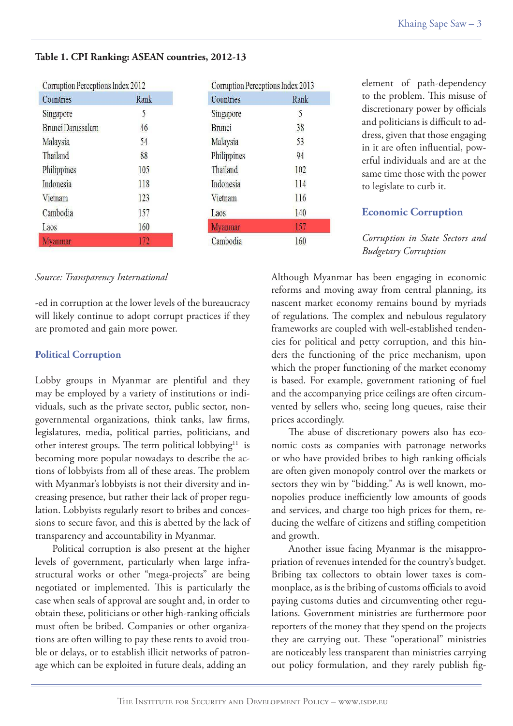| Countries         | Rank |
|-------------------|------|
| Singapore         | 5    |
| Brunei Darussalam | 46   |
| Malaysia          | 54   |
| Thailand          | 88   |
| Philippines       | 105  |
| Indonesia         | 118  |
| Vietnam           | 123  |
| Cambodia          | 157  |
| Laos              | 160  |
| Myanmar           | 172  |

#### **Table 1. CPI Ranking: ASEAN countries, 2012-13**

| Corruption Perceptions Index 2013 |      |
|-----------------------------------|------|
| Countries                         | Rank |
| Singapore                         | 5    |
| <b>Brunei</b>                     | 38   |
| Malaysia                          | 53   |
| Philippines                       | 94   |
| Thailand                          | 102  |
| Indonesia                         | 114  |
| Vietnam                           | 116  |
| Laos                              | 140  |
| <b>Myanmar</b>                    | 157  |
| Cambodia                          | 160  |
|                                   |      |

element of path-dependency to the problem. This misuse of discretionary power by officials and politicians is difficult to address, given that those engaging in it are often influential, powerful individuals and are at the same time those with the power to legislate to curb it.

#### **Economic Corruption**

*Corruption in State Sectors and Budgetary Corruption*

#### *Source: Transparency International*

-ed in corruption at the lower levels of the bureaucracy will likely continue to adopt corrupt practices if they are promoted and gain more power.

#### **Political Corruption**

Lobby groups in Myanmar are plentiful and they may be employed by a variety of institutions or individuals, such as the private sector, public sector, nongovernmental organizations, think tanks, law firms, legislatures, media, political parties, politicians, and other interest groups. The term political lobbying<sup>11</sup> is becoming more popular nowadays to describe the actions of lobbyists from all of these areas. The problem with Myanmar's lobbyists is not their diversity and increasing presence, but rather their lack of proper regulation. Lobbyists regularly resort to bribes and concessions to secure favor, and this is abetted by the lack of transparency and accountability in Myanmar.

 Political corruption is also present at the higher levels of government, particularly when large infrastructural works or other "mega-projects" are being negotiated or implemented. This is particularly the case when seals of approval are sought and, in order to obtain these, politicians or other high-ranking officials must often be bribed. Companies or other organizations are often willing to pay these rents to avoid trouble or delays, or to establish illicit networks of patronage which can be exploited in future deals, adding an

Although Myanmar has been engaging in economic reforms and moving away from central planning, its nascent market economy remains bound by myriads of regulations. The complex and nebulous regulatory frameworks are coupled with well-established tendencies for political and petty corruption, and this hinders the functioning of the price mechanism, upon which the proper functioning of the market economy is based. For example, government rationing of fuel and the accompanying price ceilings are often circumvented by sellers who, seeing long queues, raise their prices accordingly.

 The abuse of discretionary powers also has economic costs as companies with patronage networks or who have provided bribes to high ranking officials are often given monopoly control over the markets or sectors they win by "bidding." As is well known, monopolies produce inefficiently low amounts of goods and services, and charge too high prices for them, reducing the welfare of citizens and stifling competition and growth.

 Another issue facing Myanmar is the misappropriation of revenues intended for the country's budget. Bribing tax collectors to obtain lower taxes is commonplace, as is the bribing of customs officials to avoid paying customs duties and circumventing other regulations. Government ministries are furthermore poor reporters of the money that they spend on the projects they are carrying out. These "operational" ministries are noticeably less transparent than ministries carrying out policy formulation, and they rarely publish fig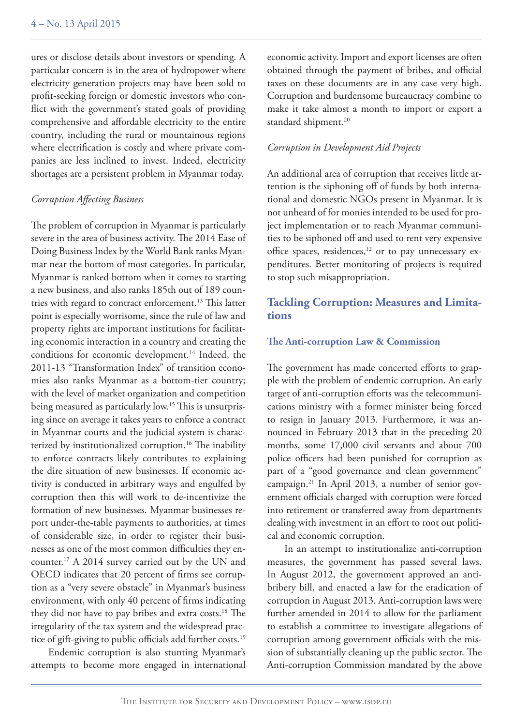ures or disclose details about investors or spending. A particular concern is in the area of hydropower where electricity generation projects may have been sold to profit-seeking foreign or domestic investors who conflict with the government's stated goals of providing comprehensive and affordable electricity to the entire country, including the rural or mountainous regions where electrification is costly and where private companies are less inclined to invest. Indeed, electricity shortages are a persistent problem in Myanmar today.

#### *Corruption Affecting Business*

The problem of corruption in Myanmar is particularly severe in the area of business activity. The 2014 Ease of Doing Business Index by the World Bank ranks Myanmar near the bottom of most categories. In particular, Myanmar is ranked bottom when it comes to starting a new business, and also ranks 185th out of 189 countries with regard to contract enforcement.<sup>13</sup> This latter point is especially worrisome, since the rule of law and property rights are important institutions for facilitating economic interaction in a country and creating the conditions for economic development.<sup>14</sup> Indeed, the 2011-13 "Transformation Index" of transition economies also ranks Myanmar as a bottom-tier country; with the level of market organization and competition being measured as particularly low.<sup>15</sup> This is unsurprising since on average it takes years to enforce a contract in Myanmar courts and the judicial system is characterized by institutionalized corruption.<sup>16</sup> The inability to enforce contracts likely contributes to explaining the dire situation of new businesses. If economic activity is conducted in arbitrary ways and engulfed by corruption then this will work to de-incentivize the formation of new businesses. Myanmar businesses report under-the-table payments to authorities, at times of considerable size, in order to register their businesses as one of the most common difficulties they encounter.<sup>17</sup> A 2014 survey carried out by the UN and OECD indicates that 20 percent of firms see corruption as a "very severe obstacle" in Myanmar's business environment, with only 40 percent of firms indicating they did not have to pay bribes and extra costs.<sup>18</sup> The irregularity of the tax system and the widespread practice of gift-giving to public officials add further costs.<sup>19</sup>

 Endemic corruption is also stunting Myanmar's attempts to become more engaged in international economic activity. Import and export licenses are often obtained through the payment of bribes, and official taxes on these documents are in any case very high. Corruption and burdensome bureaucracy combine to make it take almost a month to import or export a standard shipment.<sup>20</sup>

#### *Corruption in Development Aid Projects*

An additional area of corruption that receives little attention is the siphoning off of funds by both international and domestic NGOs present in Myanmar. It is not unheard of for monies intended to be used for project implementation or to reach Myanmar communities to be siphoned off and used to rent very expensive office spaces, residences,<sup>12</sup> or to pay unnecessary expenditures. Better monitoring of projects is required to stop such misappropriation.

#### **Tackling Corruption: Measures and Limitations**

#### **The Anti-corruption Law & Commission**

The government has made concerted efforts to grapple with the problem of endemic corruption. An early target of anti-corruption efforts was the telecommunications ministry with a former minister being forced to resign in January 2013. Furthermore, it was announced in February 2013 that in the preceding 20 months, some 17,000 civil servants and about 700 police officers had been punished for corruption as part of a "good governance and clean government" campaign.21 In April 2013, a number of senior government officials charged with corruption were forced into retirement or transferred away from departments dealing with investment in an effort to root out political and economic corruption.

 In an attempt to institutionalize anti-corruption measures, the government has passed several laws. In August 2012, the government approved an antibribery bill, and enacted a law for the eradication of corruption in August 2013. Anti-corruption laws were further amended in 2014 to allow for the parliament to establish a committee to investigate allegations of corruption among government officials with the mission of substantially cleaning up the public sector. The Anti-corruption Commission mandated by the above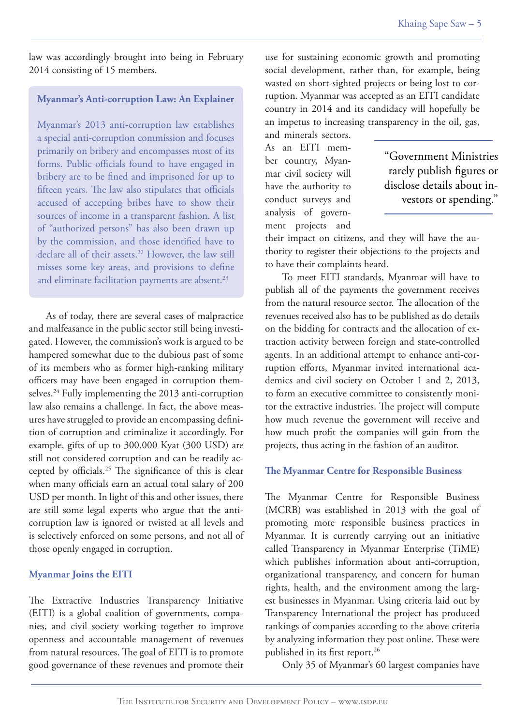law was accordingly brought into being in February 2014 consisting of 15 members.

#### **Myanmar's Anti-corruption Law: An Explainer**

Myanmar's 2013 anti-corruption law establishes a special anti-corruption commission and focuses primarily on bribery and encompasses most of its forms. Public officials found to have engaged in bribery are to be fined and imprisoned for up to fifteen years. The law also stipulates that officials accused of accepting bribes have to show their sources of income in a transparent fashion. A list of "authorized persons" has also been drawn up by the commission, and those identified have to declare all of their assets.<sup>22</sup> However, the law still misses some key areas, and provisions to define and eliminate facilitation payments are absent.<sup>23</sup>

 As of today, there are several cases of malpractice and malfeasance in the public sector still being investigated. However, the commission's work is argued to be hampered somewhat due to the dubious past of some of its members who as former high-ranking military officers may have been engaged in corruption themselves.<sup>24</sup> Fully implementing the 2013 anti-corruption law also remains a challenge. In fact, the above measures have struggled to provide an encompassing definition of corruption and criminalize it accordingly. For example, gifts of up to 300,000 Kyat (300 USD) are still not considered corruption and can be readily accepted by officials.<sup>25</sup> The significance of this is clear when many officials earn an actual total salary of 200 USD per month. In light of this and other issues, there are still some legal experts who argue that the anticorruption law is ignored or twisted at all levels and is selectively enforced on some persons, and not all of those openly engaged in corruption.

#### **Myanmar Joins the EITI**

The Extractive Industries Transparency Initiative (EITI) is a global coalition of governments, companies, and civil society working together to improve openness and accountable management of revenues from natural resources. The goal of EITI is to promote good governance of these revenues and promote their

use for sustaining economic growth and promoting social development, rather than, for example, being wasted on short-sighted projects or being lost to corruption. Myanmar was accepted as an EITI candidate country in 2014 and its candidacy will hopefully be an impetus to increasing transparency in the oil, gas,

and minerals sectors. As an EITI member country, Myanmar civil society will have the authority to conduct surveys and analysis of government projects and

"Government Ministries rarely publish figures or disclose details about investors or spending."

their impact on citizens, and they will have the authority to register their objections to the projects and to have their complaints heard.

 To meet EITI standards, Myanmar will have to publish all of the payments the government receives from the natural resource sector. The allocation of the revenues received also has to be published as do details on the bidding for contracts and the allocation of extraction activity between foreign and state-controlled agents. In an additional attempt to enhance anti-corruption efforts, Myanmar invited international academics and civil society on October 1 and 2, 2013, to form an executive committee to consistently monitor the extractive industries. The project will compute how much revenue the government will receive and how much profit the companies will gain from the projects, thus acting in the fashion of an auditor.

#### **The Myanmar Centre for Responsible Business**

The Myanmar Centre for Responsible Business (MCRB) was established in 2013 with the goal of promoting more responsible business practices in Myanmar. It is currently carrying out an initiative called Transparency in Myanmar Enterprise (TiME) which publishes information about anti-corruption, organizational transparency, and concern for human rights, health, and the environment among the largest businesses in Myanmar. Using criteria laid out by Transparency International the project has produced rankings of companies according to the above criteria by analyzing information they post online. These were published in its first report.<sup>26</sup>

Only 35 of Myanmar's 60 largest companies have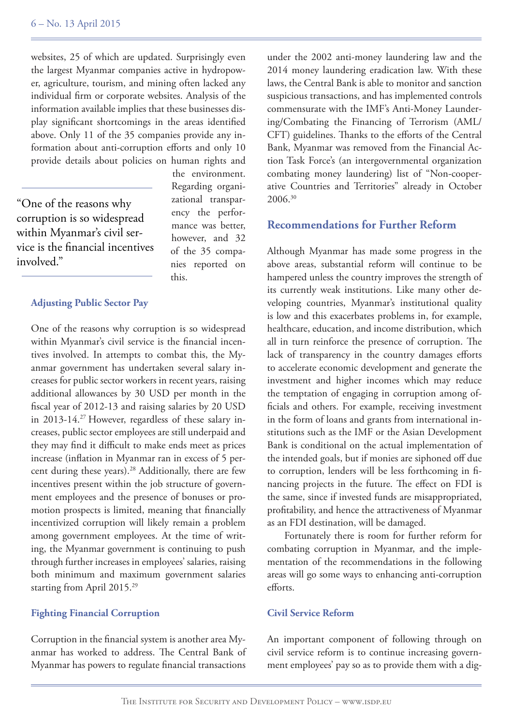websites, 25 of which are updated. Surprisingly even the largest Myanmar companies active in hydropower, agriculture, tourism, and mining often lacked any individual firm or corporate websites. Analysis of the information available implies that these businesses display significant shortcomings in the areas identified above. Only 11 of the 35 companies provide any information about anti-corruption efforts and only 10 provide details about policies on human rights and

"One of the reasons why corruption is so widespread within Myanmar's civil service is the financial incentives involved."

the environment. Regarding organizational transparency the performance was better, however, and 32 of the 35 companies reported on this.

#### **Adjusting Public Sector Pay**

One of the reasons why corruption is so widespread within Myanmar's civil service is the financial incentives involved. In attempts to combat this, the Myanmar government has undertaken several salary increases for public sector workers in recent years, raising additional allowances by 30 USD per month in the fiscal year of 2012-13 and raising salaries by 20 USD in 2013-14.27 However, regardless of these salary increases, public sector employees are still underpaid and they may find it difficult to make ends meet as prices increase (inflation in Myanmar ran in excess of 5 percent during these years).<sup>28</sup> Additionally, there are few incentives present within the job structure of government employees and the presence of bonuses or promotion prospects is limited, meaning that financially incentivized corruption will likely remain a problem among government employees. At the time of writing, the Myanmar government is continuing to push through further increases in employees' salaries, raising both minimum and maximum government salaries starting from April 2015.<sup>29</sup>

#### **Fighting Financial Corruption**

Corruption in the financial system is another area Myanmar has worked to address. The Central Bank of Myanmar has powers to regulate financial transactions

under the 2002 anti-money laundering law and the 2014 money laundering eradication law. With these laws, the Central Bank is able to monitor and sanction suspicious transactions, and has implemented controls commensurate with the IMF's Anti-Money Laundering/Combating the Financing of Terrorism (AML/ CFT) guidelines. Thanks to the efforts of the Central Bank, Myanmar was removed from the Financial Action Task Force's (an intergovernmental organization combating money laundering) list of "Non-cooperative Countries and Territories" already in October 2006.<sup>30</sup>

#### **Recommendations for Further Reform**

Although Myanmar has made some progress in the above areas, substantial reform will continue to be hampered unless the country improves the strength of its currently weak institutions. Like many other developing countries, Myanmar's institutional quality is low and this exacerbates problems in, for example, healthcare, education, and income distribution, which all in turn reinforce the presence of corruption. The lack of transparency in the country damages efforts to accelerate economic development and generate the investment and higher incomes which may reduce the temptation of engaging in corruption among officials and others. For example, receiving investment in the form of loans and grants from international institutions such as the IMF or the Asian Development Bank is conditional on the actual implementation of the intended goals, but if monies are siphoned off due to corruption, lenders will be less forthcoming in financing projects in the future. The effect on FDI is the same, since if invested funds are misappropriated, profitability, and hence the attractiveness of Myanmar as an FDI destination, will be damaged.

 Fortunately there is room for further reform for combating corruption in Myanmar, and the implementation of the recommendations in the following areas will go some ways to enhancing anti-corruption efforts.

#### **Civil Service Reform**

An important component of following through on civil service reform is to continue increasing government employees' pay so as to provide them with a dig-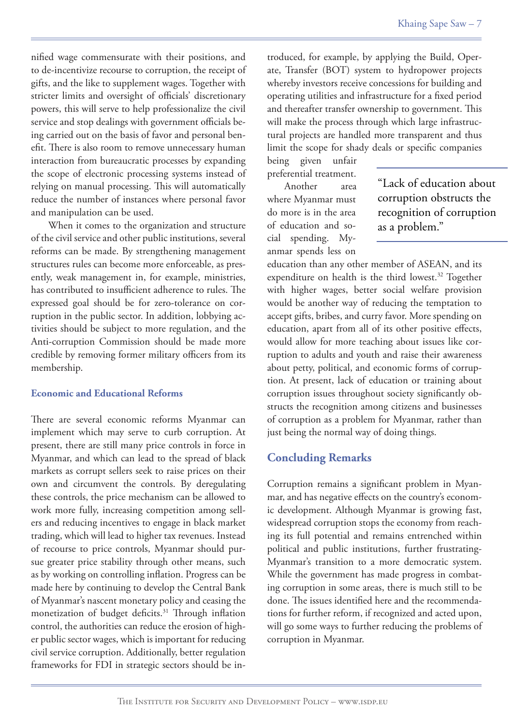nified wage commensurate with their positions, and to de-incentivize recourse to corruption, the receipt of gifts, and the like to supplement wages. Together with stricter limits and oversight of officials' discretionary powers, this will serve to help professionalize the civil service and stop dealings with government officials being carried out on the basis of favor and personal benefit. There is also room to remove unnecessary human interaction from bureaucratic processes by expanding the scope of electronic processing systems instead of relying on manual processing. This will automatically reduce the number of instances where personal favor and manipulation can be used.

 When it comes to the organization and structure of the civil service and other public institutions, several reforms can be made. By strengthening management structures rules can become more enforceable, as presently, weak management in, for example, ministries, has contributed to insufficient adherence to rules. The expressed goal should be for zero-tolerance on corruption in the public sector. In addition, lobbying activities should be subject to more regulation, and the Anti-corruption Commission should be made more credible by removing former military officers from its membership.

#### **Economic and Educational Reforms**

There are several economic reforms Myanmar can implement which may serve to curb corruption. At present, there are still many price controls in force in Myanmar, and which can lead to the spread of black markets as corrupt sellers seek to raise prices on their own and circumvent the controls. By deregulating these controls, the price mechanism can be allowed to work more fully, increasing competition among sellers and reducing incentives to engage in black market trading, which will lead to higher tax revenues. Instead of recourse to price controls, Myanmar should pursue greater price stability through other means, such as by working on controlling inflation. Progress can be made here by continuing to develop the Central Bank of Myanmar's nascent monetary policy and ceasing the monetization of budget deficits.<sup>31</sup> Through inflation control, the authorities can reduce the erosion of higher public sector wages, which is important for reducing civil service corruption. Additionally, better regulation frameworks for FDI in strategic sectors should be introduced, for example, by applying the Build, Operate, Transfer (BOT) system to hydropower projects whereby investors receive concessions for building and operating utilities and infrastructure for a fixed period and thereafter transfer ownership to government. This will make the process through which large infrastructural projects are handled more transparent and thus limit the scope for shady deals or specific companies

being given unfair preferential treatment.

 Another area where Myanmar must do more is in the area of education and social spending. Myanmar spends less on  "Lack of education about corruption obstructs the recognition of corruption as a problem."

education than any other member of ASEAN, and its expenditure on health is the third lowest.<sup>32</sup> Together with higher wages, better social welfare provision would be another way of reducing the temptation to accept gifts, bribes, and curry favor. More spending on education, apart from all of its other positive effects, would allow for more teaching about issues like corruption to adults and youth and raise their awareness about petty, political, and economic forms of corruption. At present, lack of education or training about corruption issues throughout society significantly obstructs the recognition among citizens and businesses of corruption as a problem for Myanmar, rather than just being the normal way of doing things.

#### **Concluding Remarks**

Corruption remains a significant problem in Myanmar, and has negative effects on the country's economic development. Although Myanmar is growing fast, widespread corruption stops the economy from reaching its full potential and remains entrenched within political and public institutions, further frustrating-Myanmar's transition to a more democratic system. While the government has made progress in combating corruption in some areas, there is much still to be done. The issues identified here and the recommendations for further reform, if recognized and acted upon, will go some ways to further reducing the problems of corruption in Myanmar.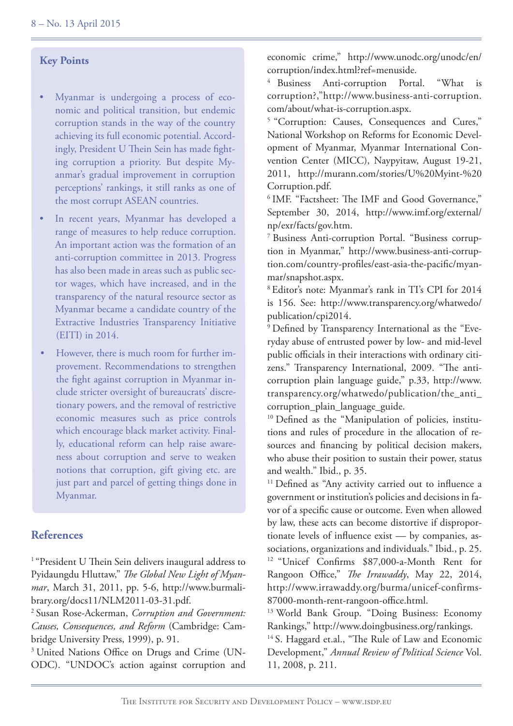#### **Key Points**

- Myanmar is undergoing a process of economic and political transition, but endemic corruption stands in the way of the country achieving its full economic potential. Accordingly, President U Thein Sein has made fighting corruption a priority. But despite Myanmar's gradual improvement in corruption perceptions' rankings, it still ranks as one of the most corrupt ASEAN countries.
- In recent years, Myanmar has developed a range of measures to help reduce corruption. An important action was the formation of an anti-corruption committee in 2013. Progress has also been made in areas such as public sector wages, which have increased, and in the transparency of the natural resource sector as Myanmar became a candidate country of the Extractive Industries Transparency Initiative (EITI) in 2014.
- However, there is much room for further improvement. Recommendations to strengthen the fight against corruption in Myanmar include stricter oversight of bureaucrats' discretionary powers, and the removal of restrictive economic measures such as price controls which encourage black market activity. Finally, educational reform can help raise awareness about corruption and serve to weaken notions that corruption, gift giving etc. are just part and parcel of getting things done in Myanmar.

#### **References**

<sup>1</sup> "President U Thein Sein delivers inaugural address to Pyidaungdu Hluttaw," *The Global New Light of Myanmar*, March 31, 2011, pp. 5-6, http://www.burmalibrary.org/docs11/NLM2011-03-31.pdf.

<sup>2</sup>Susan Rose-Ackerman, *Corruption and Government: Causes, Consequences, and Reform* (Cambridge: Cambridge University Press, 1999), p. 91.

<sup>3</sup> United Nations Office on Drugs and Crime (UN-ODC). "UNDOC's action against corruption and economic crime," http://www.unodc.org/unodc/en/ corruption/index.html?ref=menuside.

<sup>4</sup> Business Anti-corruption Portal. "What is corruption?,"http://www.business-anti-corruption. com/about/what-is-corruption.aspx.

<sup>5</sup> "Corruption: Causes, Consequences and Cures," National Workshop on Reforms for Economic Development of Myanmar, Myanmar International Convention Center (MICC), Naypyitaw, August 19-21, 2011, http://murann.com/stories/U%20Myint-%20 Corruption.pdf.

<sup>6</sup> IMF. "Factsheet: The IMF and Good Governance," September 30, 2014, http://www.imf.org/external/ np/exr/facts/gov.htm.

7 Business Anti-corruption Portal. "Business corruption in Myanmar," http://www.business-anti-corruption.com/country-profiles/east-asia-the-pacific/myanmar/snapshot.aspx.

<sup>8</sup>Editor's note: Myanmar's rank in TI's CPI for 2014 is 156. See: http://www.transparency.org/whatwedo/ publication/cpi2014.

9 Defined by Transparency International as the "Everyday abuse of entrusted power by low- and mid-level public officials in their interactions with ordinary citizens." Transparency International, 2009. "The anticorruption plain language guide," p.33, http://www. transparency.org/whatwedo/publication/the\_anti\_ corruption\_plain\_language\_guide.

<sup>10</sup> Defined as the "Manipulation of policies, institutions and rules of procedure in the allocation of resources and financing by political decision makers, who abuse their position to sustain their power, status and wealth." Ibid., p. 35.

<sup>11</sup> Defined as "Any activity carried out to influence a government or institution's policies and decisions in favor of a specific cause or outcome. Even when allowed by law, these acts can become distortive if disproportionate levels of influence exist — by companies, associations, organizations and individuals." Ibid., p. 25. <sup>12</sup> "Unicef Confirms \$87,000-a-Month Rent for Rangoon Office," *The Irrawaddy*, May 22, 2014, http://www.irrawaddy.org/burma/unicef-confirms-87000-month-rent-rangoon-office.html.

<sup>13</sup> World Bank Group. "Doing Business: Economy Rankings," http://www.doingbusiness.org/rankings.

<sup>14</sup> S. Haggard et.al., "The Rule of Law and Economic Development," *Annual Review of Political Science* Vol. 11, 2008, p. 211.